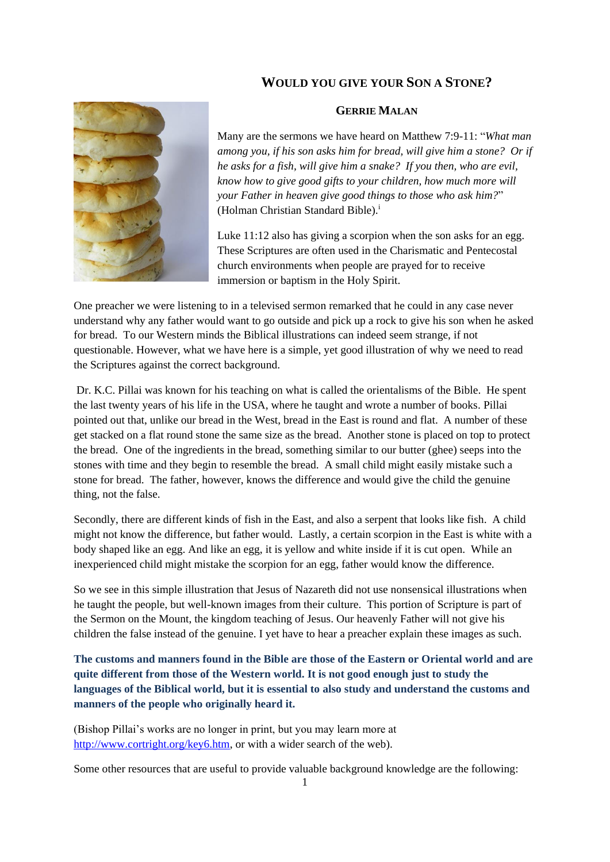## **WOULD YOU GIVE YOUR SON A STONE?**



## **GERRIE MALAN**

Many are the sermons we have heard on Matthew 7:9-11: "*What man among you, if his son asks him for bread, will give him a stone? Or if he asks for a fish, will give him a snake? If you then, who are evil, know how to give good gifts to your children, how much more will your Father in heaven give good things to those who ask him?*" (Holman Christian Standard Bible).<sup>i</sup>

Luke 11:12 also has giving a scorpion when the son asks for an egg. These Scriptures are often used in the Charismatic and Pentecostal church environments when people are prayed for to receive immersion or baptism in the Holy Spirit.

One preacher we were listening to in a televised sermon remarked that he could in any case never understand why any father would want to go outside and pick up a rock to give his son when he asked for bread. To our Western minds the Biblical illustrations can indeed seem strange, if not questionable. However, what we have here is a simple, yet good illustration of why we need to read the Scriptures against the correct background.

Dr. K.C. Pillai was known for his teaching on what is called the orientalisms of the Bible. He spent the last twenty years of his life in the USA, where he taught and wrote a number of books. Pillai pointed out that, unlike our bread in the West, bread in the East is round and flat. A number of these get stacked on a flat round stone the same size as the bread. Another stone is placed on top to protect the bread. One of the ingredients in the bread, something similar to our butter (ghee) seeps into the stones with time and they begin to resemble the bread. A small child might easily mistake such a stone for bread. The father, however, knows the difference and would give the child the genuine thing, not the false.

Secondly, there are different kinds of fish in the East, and also a serpent that looks like fish. A child might not know the difference, but father would. Lastly, a certain scorpion in the East is white with a body shaped like an egg. And like an egg, it is yellow and white inside if it is cut open. While an inexperienced child might mistake the scorpion for an egg, father would know the difference.

So we see in this simple illustration that Jesus of Nazareth did not use nonsensical illustrations when he taught the people, but well-known images from their culture. This portion of Scripture is part of the Sermon on the Mount, the kingdom teaching of Jesus. Our heavenly Father will not give his children the false instead of the genuine. I yet have to hear a preacher explain these images as such.

**The customs and manners found in the Bible are those of the Eastern or Oriental world and are quite different from those of the Western world. It is not good enough just to study the languages of the Biblical world, but it is essential to also study and understand the customs and manners of the people who originally heard it.**

(Bishop Pillai's works are no longer in print, but you may learn more at [http://www.cortright.org/key6.htm,](http://www.cortright.org/key6.htm) or with a wider search of the web).

Some other resources that are useful to provide valuable background knowledge are the following: